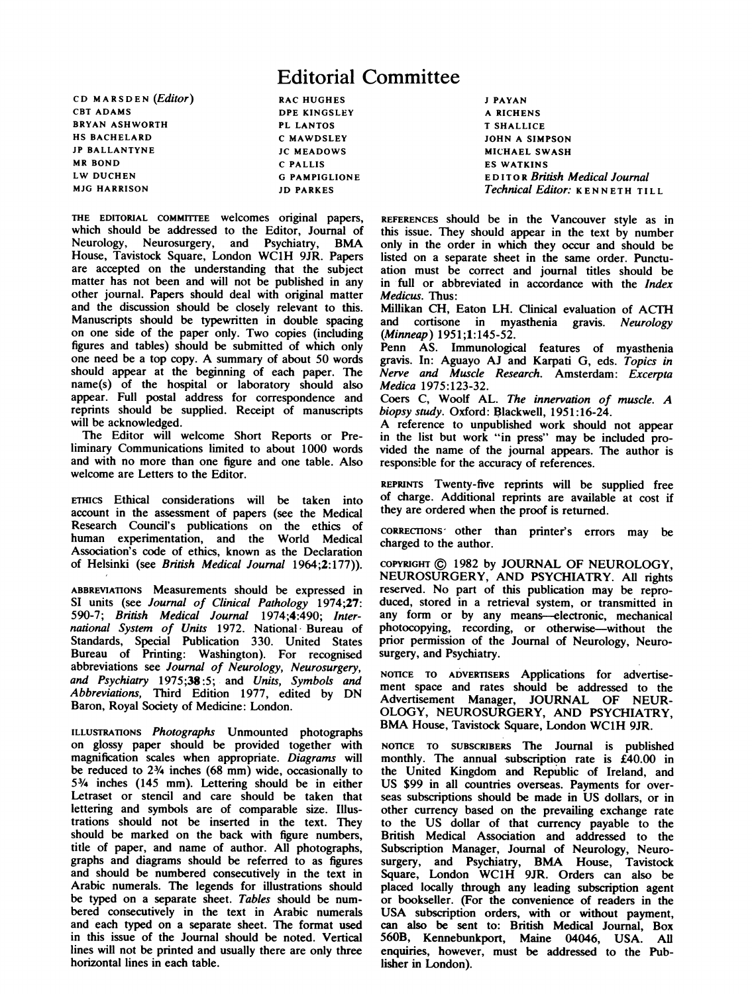## Editorial Committee

CD MARSDEN (Editor) CBT ADAMS BRYAN ASHWORTH HS BACHELARD JP BALLANTYNE MR BOND LW DUCHEN MJG HARRISON

RAC HUGHES DPE KINGSLEY PL LANTOS C MAWDSLEY JC MEADOWS C PALLIS G PAMPIGLIONE JD PARKES

THE EDITORIAL COMMITTEE welcomes original papers, which should be addressed to the Editor, Journal of Neurology, Neurosurgery, and Psychiatry, BMA House, Tavistock Square, London WC1H 9JR. Papers are accepted on the understanding that the subject matter has not been and will not be published in any other journal. Papers should deal with original matter and the discussion should be closely relevant to this. Manuscripts should be typewritten in double spacing on one side of the paper only. Two copies (including figures and tables) should be submitted of which only one need be <sup>a</sup> top copy. A summary of about <sup>50</sup> words should appear at the beginning of each paper. The name(s) of the hospital or laboratory should also appear. Full postal address for correspondence and reprints should be supplied. Receipt of manuscripts will be acknowledged.

The Editor will welcome Short Reports or Preliminary Communications limited to about 1000 words and with no more than one figure and one table. Also welcome are Letters to the Editor.

ETHICS Ethical considerations will be taken into account in the assessment of papers (see the Medical Research Council's publications on the ethics of human experimentation, and the World Medical Association's code of ethics, known as the Declaration of Helsinki (see British Medical Journal 1964;2:177)).

ABBREvIATIONS Measurements should be expressed in SI units (see Journal of Clinical Pathology 1974;27: 590-7; British Medical Journal 1974;4:490; International System of Units 1972. National- Bureau of Standards, Special Publication 330. United States Bureau of Printing: Washington). For recognised abbreviations see Journal of Neurology, Neurosurgery, and Psychiatry 1975;38 :5; and Units, Symbols and Abbreviations, Third Edition 1977, edited by DN Baron, Royal Society of Medicine: London.

ILLUSTRATIONS Photographs Unmounted photographs on glossy paper should be provided together with magnification scales when appropriate. Diagrams will be reduced to 23/4 inches (68 mm) wide, occasionally to 53/4 inches (145 mm). Lettering should be in either Letraset or stencil and care should be taken that lettering and symbols are of comparable size. Illustrations should not be inserted in the text. They should be marked on the back with figure numbers, title of paper, and name of author. All photographs, graphs and diagrams should be referred to as figures and should be numbered consecutively in the text in Arabic numerals. The legends for illustrations should be typed on a separate sheet. Tables should be numbered consecutively in the text in Arabic numerals and each typed on a separate sheet. The format used in this issue of the Journal should be noted. Vertical lines will not be printed and usually there are only three horizontal lines in each table.

<sup>J</sup> PAYAN A RICHENS T SHALLICE JOHN A SIMPSON MICHAEL SWASH ES WATKINS EDITOR British Medical Journal Technical Editor: KENNETH TILL

REFERENCES should be in the Vancouver style as in this issue. They should appear in the text by number only in the order in which they occur and should be listed on a separate sheet in the same order. Punctuation must be correct and journal titles should be in full or abbreviated in accordance with the *Index* Medicus. Thus:

Millikan CH, Eaton LH. Clinical evaluation of ACTH and cortisone in myasthenia gravis. Neurology (Minneap) 1951;1:145-52.

Penn AS. Immunological features of myasthenia gravis. In: Aguayo AJ and Karpati G, eds. Topics in Nerve and Muscle Research. Amsterdam: Excerpta Medica 1975:123-32.

Coers C, Woolf AL. The innervation of muscle. A biopsy study. Oxford: Blackwell, 1951:16-24.

A reference to unpublished work should not appear in the list but work "in press" may be included provided the name of the journal appears. The author is responsible for the accuracy of references.

REPRINTS Twenty-five reprints will be supplied free of charge. Additional reprints are available at cost if they are ordered when the proof is retumed.

CORRECTIONS' other than printer's errors may be charged to the author.

COPYRIGHT © <sup>1982</sup> by JOURNAL OF NEUROLOGY, NEUROSURGERY, AND PSYCHIATRY. All rights reserved. No part of this publication may be reproduced, stored in a retrieval system, or transmitted in any form or by any means-electronic, mechanical photocopying, recording, or otherwise-without the prior permission of the Journal of Neurology, Neurosurgery, and Psychiatry.

NOTICE TO ADVERTISERS Applications for advertisement space and rates should be addressed to the Advertisement Manager, JOURNAL OF NEUR-OLOGY, NEUROSURGERY, AND PSYCHIATRY, BMA House, Tavistock Square, London WC1H 9JR.

NOTICE TO SUBSCRIBERS The Journal is published monthly. The annual subscription rate is £40.00 in the United Kingdom and Republic of Ireland, and US \$99 in all countries overseas. Payments for overseas subscriptions should be made in US dollars, or in other currency based on the prevailing exchange rate to the US dollar of that currency payable to the British Medical Association and addressed to the Subscription Manager, Journal of Neurology, Neurosurgery, and Psychiatry, BMA House, Tavistock Square, London WC1H 9JR. Orders can also be placed locally through any leading subscription agent or bookseller. (For the convenience of readers in the USA subscription orders, with or without payment, can also be sent to: British Medical Journal, Box 560B, Kennebunkport, Maine 04046, USA. All enquiries, however, must be addressed to the Publisher in London).